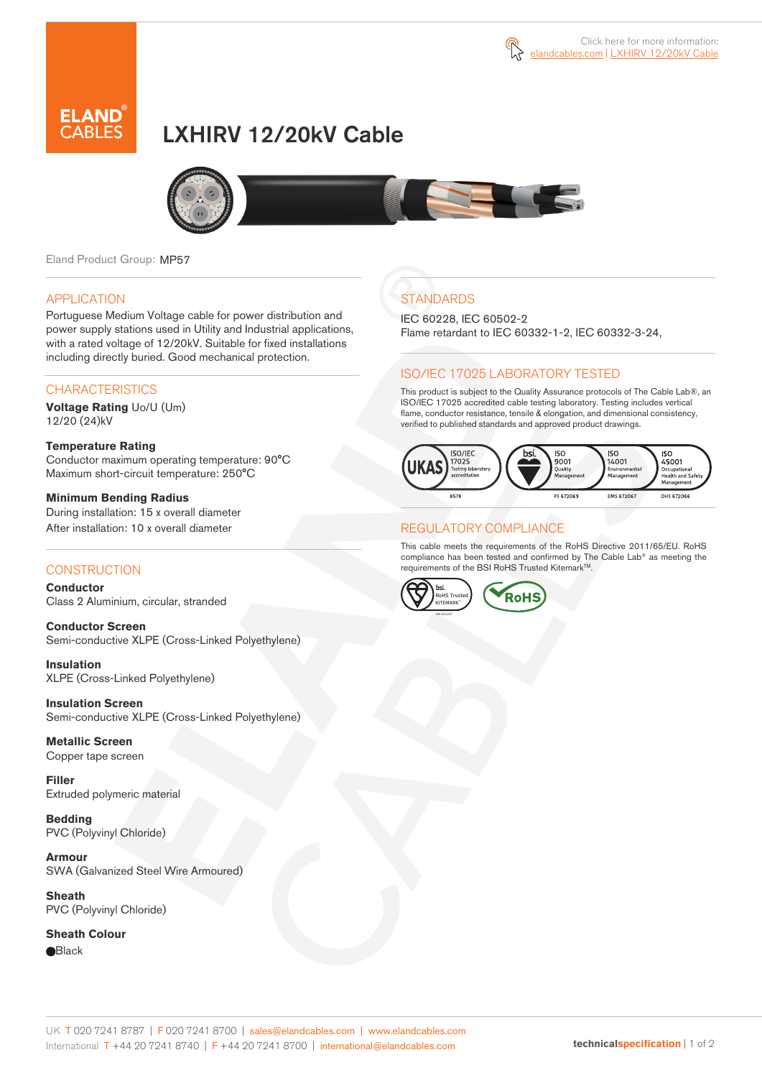

# LXHIRV 12/20kV Cable



Eland Product Group: MP57

#### APPLICATION

Portuguese Medium Voltage cable for power distribution and power supply stations used in Utility and Industrial applications, with a rated voltage of 12/20kV. Suitable for fixed installations including directly buried. Good mechanical protection.

### **CHARACTERISTICS**

**Voltage Rating** Uo/U (Um) 12/20 (24)kV

#### **Temperature Rating**  Conductor maximum operating temperature: 90°C Maximum short-circuit temperature: 250°C

**Minimum Bending Radius**  During installation: 15 x overall diameter After installation: 10 x overall diameter

### **CONSTRUCTION**

**Conductor**  Class 2 Aluminium, circular, stranded

**Conductor Screen** Semi-conductive XLPE (Cross-Linked Polyethylene)

**Insulation** XLPE (Cross-Linked Polyethylene)

**Insulation Screen** Semi-conductive XLPE (Cross-Linked Polyethylene)

**Metallic Screen**  Copper tape screen

**Filler** Extruded polymeric material

**Bedding** PVC (Polyvinyl Chloride)

**Armour** SWA (Galvanized Steel Wire Armoured)

**Sheath** PVC (Polyvinyl Chloride)

**Sheath Colour e**Black

## **STANDARDS**

IEC 60228, IEC 60502-2 Flame retardant to IEC 60332-1-2, IEC 60332-3-24,

### ISO/IEC 17025 LABORATORY TESTED

This product is subject to the Quality Assurance protocols of The Cable Lab®, an ISO/IEC 17025 accredited cable testing laboratory. Testing includes vertical flame, conductor resistance, tensile & elongation, and dimensional consistency, verified to published standards and approved product drawings.



### REGULATORY COMPLIANCE

This cable meets the requirements of the RoHS Directive 2011/65/EU. RoHS compliance has been tested and confirmed by The Cable Lab® as meeting the requirements of the BSI RoHS Trusted Kitemark<sup>™</sup>.